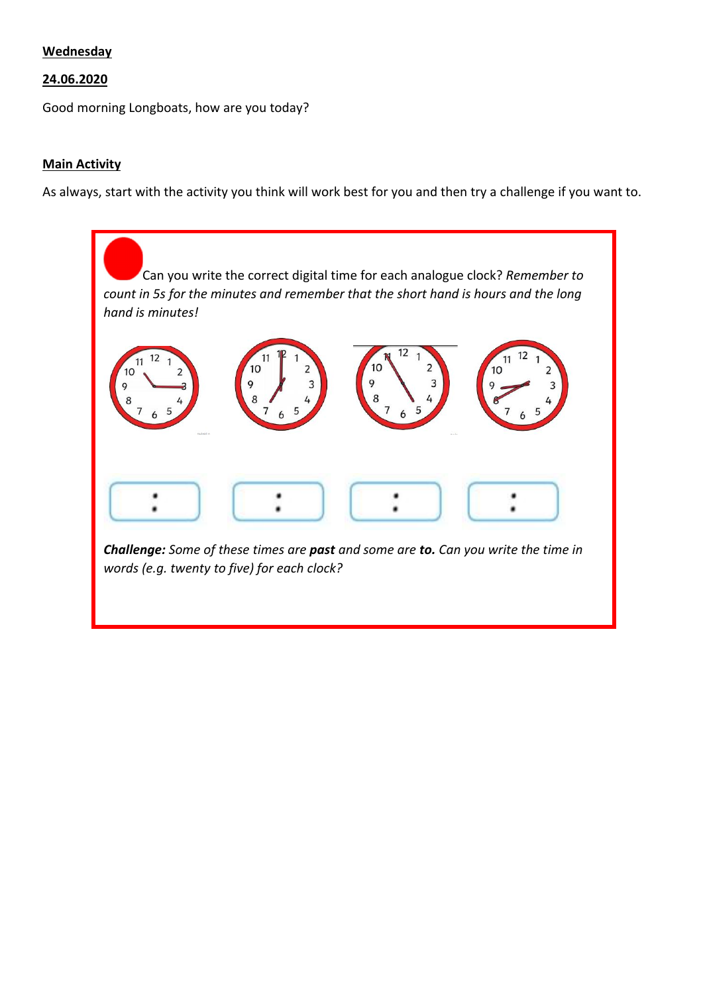## **Wednesday**

## 24.06.2020

Good morning Longboats, how are you today?

## **Main Activity**

As always, start with the activity you think will work best for you and then try a challenge if you want to.

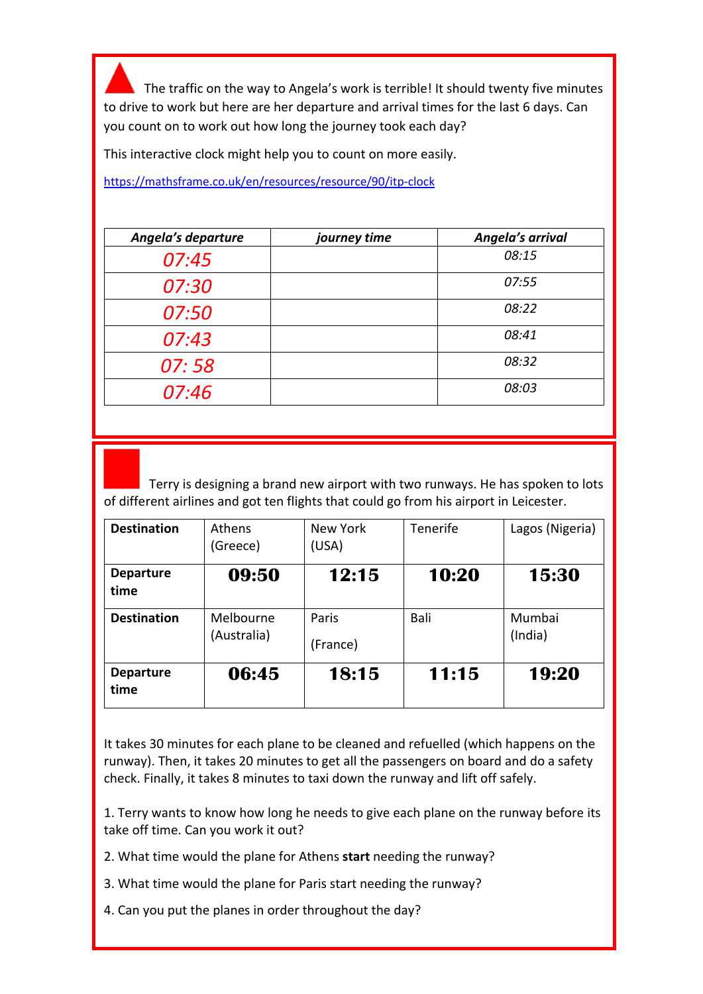The traffic on the way to Angela's work is terrible! It should twenty five minutes to drive to work but here are her departure and arrival times for the last 6 days. Can you count on to work out how long the journey took each day?

This interactive clock might help you to count on more easily.

https://mathsframe.co.uk/en/resources/resource/90/itp-clock

| journey time | Angela's arrival |
|--------------|------------------|
|              | 08:15            |
|              | 07:55            |
|              | 08:22            |
|              | 08:41            |
|              | 08:32            |
|              | 08:03            |
|              |                  |

 Terry is designing a brand new airport with two runways. He has spoken to lots of different airlines and got ten flights that could go from his airport in Leicester.

| <b>Destination</b>       | <b>Athens</b><br>(Greece) | New York<br>(USA) | <b>Tenerife</b> | Lagos (Nigeria)   |
|--------------------------|---------------------------|-------------------|-----------------|-------------------|
| <b>Departure</b><br>time | 09:50                     | 12:15             | 10:20           | 15:30             |
| <b>Destination</b>       | Melbourne<br>(Australia)  | Paris<br>(France) | Bali            | Mumbai<br>(India) |
| <b>Departure</b><br>time | 06:45                     | 18:15             | 11:15           | 19:20             |

It takes 30 minutes for each plane to be cleaned and refuelled (which happens on the runway). Then, it takes 20 minutes to get all the passengers on board and do a safety check. Finally, it takes 8 minutes to taxi down the runway and lift off safely.

1. Terry wants to know how long he needs to give each plane on the runway before its take off time. Can you work it out?

- 2. What time would the plane for Athens start needing the runway?
- 3. What time would the plane for Paris start needing the runway?
- 4. Can you put the planes in order throughout the day?